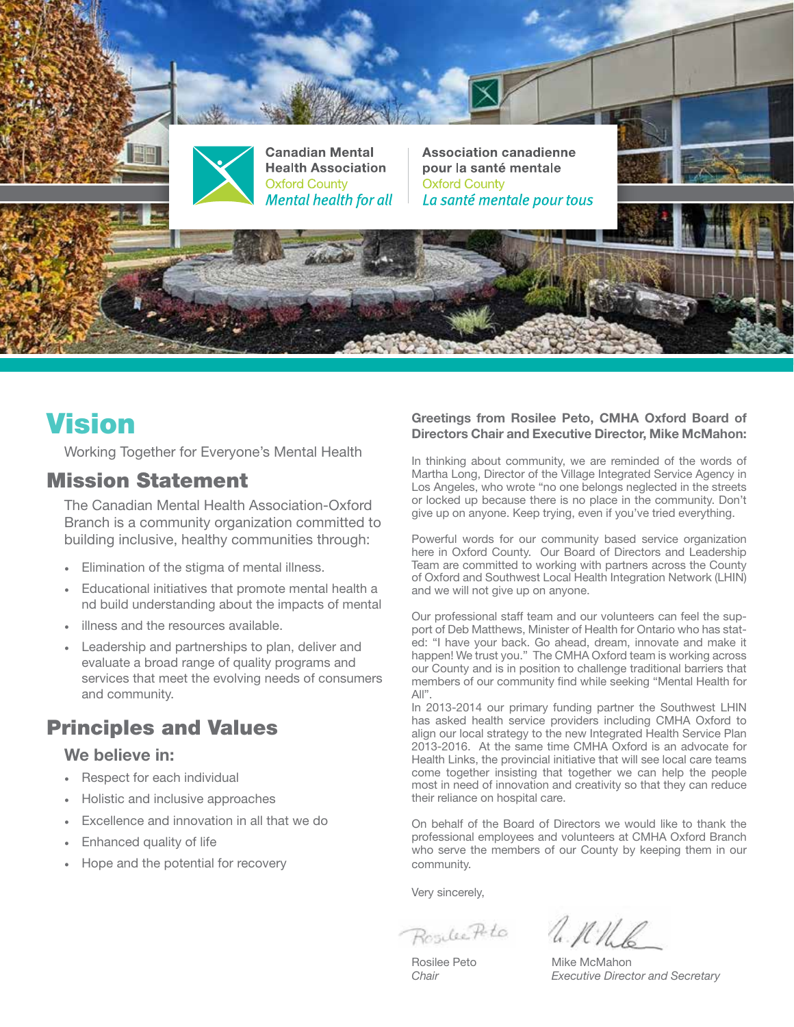

# Vision

Working Together for Everyone's Mental Health

### Mission Statement

The Canadian Mental Health Association-Oxford Branch is a community organization committed to building inclusive, healthy communities through:

- Elimination of the stigma of mental illness.
- Educational initiatives that promote mental health a nd build understanding about the impacts of mental
- illness and the resources available.
- Leadership and partnerships to plan, deliver and evaluate a broad range of quality programs and services that meet the evolving needs of consumers and community.

## Principles and Values

### We believe in:

- Respect for each individual
- Holistic and inclusive approaches
- Excellence and innovation in all that we do
- Enhanced quality of life
- Hope and the potential for recovery

#### Greetings from Rosilee Peto, CMHA Oxford Board of Directors Chair and Executive Director, Mike McMahon:

In thinking about community, we are reminded of the words of Martha Long, Director of the Village Integrated Service Agency in Los Angeles, who wrote "no one belongs neglected in the streets or locked up because there is no place in the community. Don't give up on anyone. Keep trying, even if you've tried everything.

Powerful words for our community based service organization here in Oxford County. Our Board of Directors and Leadership Team are committed to working with partners across the County of Oxford and Southwest Local Health Integration Network (LHIN) and we will not give up on anyone.

Our professional staff team and our volunteers can feel the support of Deb Matthews, Minister of Health for Ontario who has stated: "I have your back. Go ahead, dream, innovate and make it happen! We trust you." The CMHA Oxford team is working across our County and is in position to challenge traditional barriers that members of our community find while seeking "Mental Health for  $All"$ 

In 2013-2014 our primary funding partner the Southwest LHIN has asked health service providers including CMHA Oxford to align our local strategy to the new Integrated Health Service Plan 2013-2016. At the same time CMHA Oxford is an advocate for Health Links, the provincial initiative that will see local care teams come together insisting that together we can help the people most in need of innovation and creativity so that they can reduce their reliance on hospital care.

On behalf of the Board of Directors we would like to thank the professional employees and volunteers at CMHA Oxford Branch who serve the members of our County by keeping them in our community.

Very sincerely,

Rosilec Pete a. N.M.R

Rosilee Peto Mike McMahon *Chair Executive Director and Secretary*